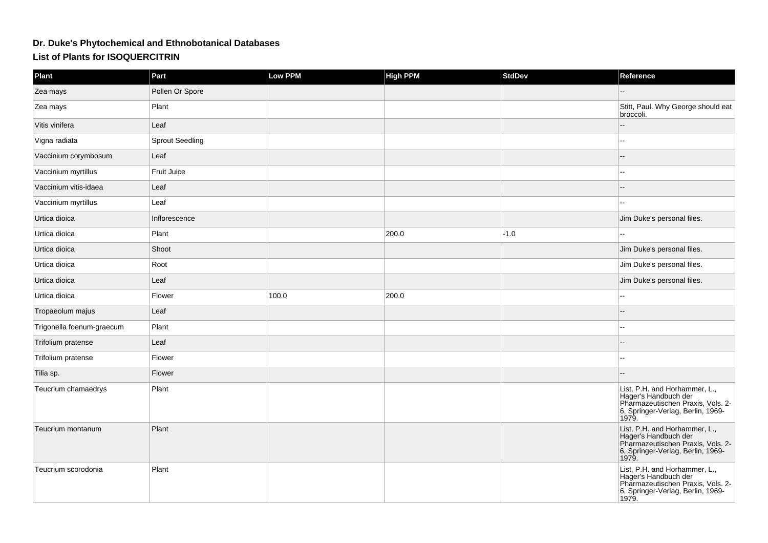## **Dr. Duke's Phytochemical and Ethnobotanical DatabasesList of Plants for ISOQUERCITRIN**

| <b>Plant</b>              | Part                   | <b>Low PPM</b> | <b>High PPM</b> | <b>StdDev</b> | Reference                                                                                                                                |
|---------------------------|------------------------|----------------|-----------------|---------------|------------------------------------------------------------------------------------------------------------------------------------------|
| Zea mays                  | Pollen Or Spore        |                |                 |               |                                                                                                                                          |
| Zea mays                  | Plant                  |                |                 |               | Stitt, Paul. Why George should eat<br>broccoli.                                                                                          |
| Vitis vinifera            | Leaf                   |                |                 |               |                                                                                                                                          |
| Vigna radiata             | <b>Sprout Seedling</b> |                |                 |               | --                                                                                                                                       |
| Vaccinium corymbosum      | Leaf                   |                |                 |               |                                                                                                                                          |
| Vaccinium myrtillus       | Fruit Juice            |                |                 |               |                                                                                                                                          |
| Vaccinium vitis-idaea     | Leaf                   |                |                 |               |                                                                                                                                          |
| Vaccinium myrtillus       | Leaf                   |                |                 |               |                                                                                                                                          |
| Urtica dioica             | Inflorescence          |                |                 |               | Jim Duke's personal files.                                                                                                               |
| Urtica dioica             | Plant                  |                | 200.0           | $-1.0$        |                                                                                                                                          |
| Urtica dioica             | Shoot                  |                |                 |               | Jim Duke's personal files.                                                                                                               |
| Urtica dioica             | Root                   |                |                 |               | Jim Duke's personal files.                                                                                                               |
| Urtica dioica             | Leaf                   |                |                 |               | Jim Duke's personal files.                                                                                                               |
| Urtica dioica             | Flower                 | 100.0          | 200.0           |               |                                                                                                                                          |
| Tropaeolum majus          | Leaf                   |                |                 |               |                                                                                                                                          |
| Trigonella foenum-graecum | Plant                  |                |                 |               | $\overline{a}$                                                                                                                           |
| Trifolium pratense        | Leaf                   |                |                 |               |                                                                                                                                          |
| Trifolium pratense        | Flower                 |                |                 |               | $\overline{a}$                                                                                                                           |
| Tilia sp.                 | Flower                 |                |                 |               |                                                                                                                                          |
| Teucrium chamaedrys       | Plant                  |                |                 |               | List, P.H. and Horhammer, L.,<br>Hager's Handbuch der<br>Pharmazeutischen Praxis, Vols. 2-<br>6, Springer-Verlag, Berlin, 1969-<br>1979. |
| Teucrium montanum         | Plant                  |                |                 |               | List, P.H. and Horhammer, L.,<br>Hager's Handbuch der<br>Pharmazeutischen Praxis, Vols. 2-<br>6, Springer-Verlag, Berlin, 1969-<br>1979. |
| Teucrium scorodonia       | Plant                  |                |                 |               | List, P.H. and Horhammer, L.,<br>Hager's Handbuch der<br>Pharmazeutischen Praxis, Vols. 2-<br>6, Springer-Verlag, Berlin, 1969-<br>1979. |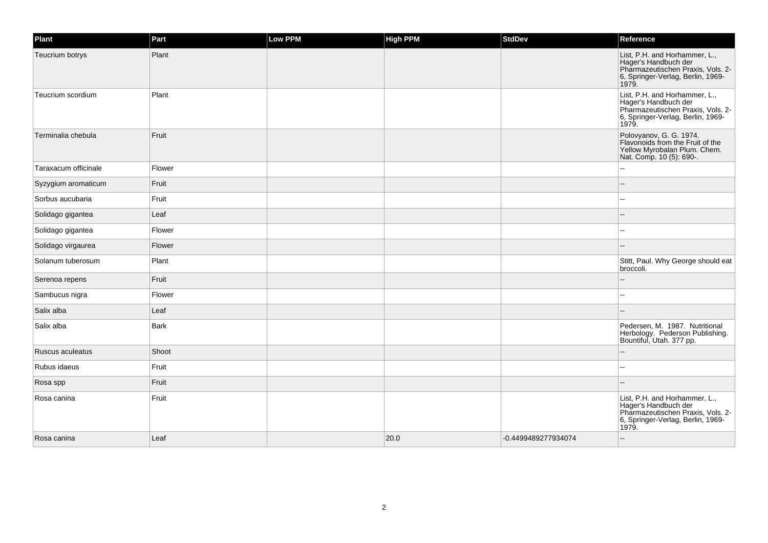| Plant                | Part        | Low PPM | <b>High PPM</b> | <b>StdDev</b>       | Reference                                                                                                                                |
|----------------------|-------------|---------|-----------------|---------------------|------------------------------------------------------------------------------------------------------------------------------------------|
| Teucrium botrys      | Plant       |         |                 |                     | List, P.H. and Horhammer, L.,<br>Hager's Handbuch der<br>Pharmazeutischen Praxis, Vols. 2-<br>6, Springer-Verlag, Berlin, 1969-<br>1979. |
| Teucrium scordium    | Plant       |         |                 |                     | List, P.H. and Horhammer, L.,<br>Hager's Handbuch der<br>Pharmazeutischen Praxis, Vols. 2-<br>6, Springer-Verlag, Berlin, 1969-<br>1979. |
| Terminalia chebula   | Fruit       |         |                 |                     | Polovyanov, G. G. 1974.<br>Flavonoids from the Fruit of the<br>Yellow Myrobalan Plum. Chem.<br>Nat. Comp. 10 (5): 690-.                  |
| Taraxacum officinale | Flower      |         |                 |                     |                                                                                                                                          |
| Syzygium aromaticum  | Fruit       |         |                 |                     |                                                                                                                                          |
| Sorbus aucubaria     | Fruit       |         |                 |                     |                                                                                                                                          |
| Solidago gigantea    | Leaf        |         |                 |                     |                                                                                                                                          |
| Solidago gigantea    | Flower      |         |                 |                     |                                                                                                                                          |
| Solidago virgaurea   | Flower      |         |                 |                     |                                                                                                                                          |
| Solanum tuberosum    | Plant       |         |                 |                     | Stitt, Paul. Why George should eat<br>broccoli.                                                                                          |
| Serenoa repens       | Fruit       |         |                 |                     |                                                                                                                                          |
| Sambucus nigra       | Flower      |         |                 |                     |                                                                                                                                          |
| Salix alba           | Leaf        |         |                 |                     |                                                                                                                                          |
| Salix alba           | <b>Bark</b> |         |                 |                     | Pedersen, M. 1987. Nutritional<br>Herbology. Pederson Publishing.<br>Bountiful, Utah. 377 pp.                                            |
| Ruscus aculeatus     | Shoot       |         |                 |                     |                                                                                                                                          |
| Rubus idaeus         | Fruit       |         |                 |                     | --                                                                                                                                       |
| Rosa spp             | Fruit       |         |                 |                     |                                                                                                                                          |
| Rosa canina          | Fruit       |         |                 |                     | List, P.H. and Horhammer, L.,<br>Hager's Handbuch der<br>Pharmazeutischen Praxis, Vols. 2-<br>6, Springer-Verlag, Berlin, 1969-<br>1979. |
| Rosa canina          | Leaf        |         | 20.0            | -0.4499489277934074 |                                                                                                                                          |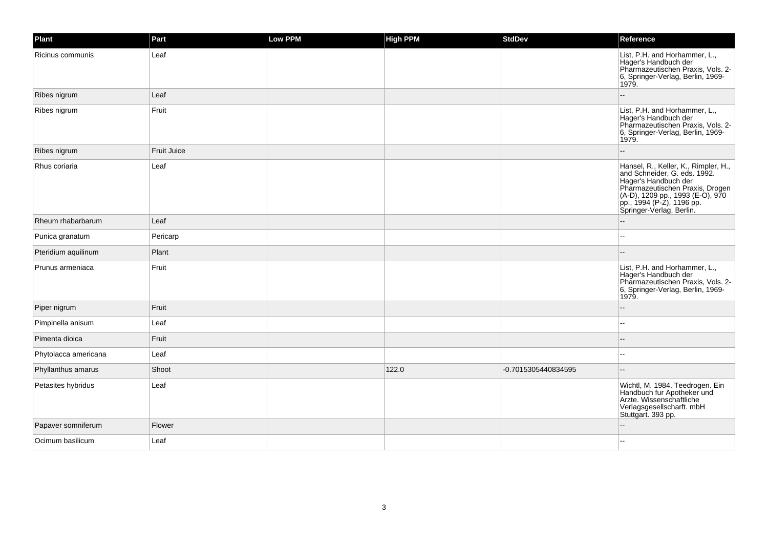| Plant                | Part        | Low PPM | <b>High PPM</b> | <b>StdDev</b>       | Reference                                                                                                                                                                                                                    |
|----------------------|-------------|---------|-----------------|---------------------|------------------------------------------------------------------------------------------------------------------------------------------------------------------------------------------------------------------------------|
| Ricinus communis     | Leaf        |         |                 |                     | List, P.H. and Horhammer, L.,<br>Hager's Handbuch der<br>Pharmazeutischen Praxis, Vols. 2-<br>6, Springer-Verlag, Berlin, 1969-<br>1979.                                                                                     |
| Ribes nigrum         | Leaf        |         |                 |                     |                                                                                                                                                                                                                              |
| Ribes nigrum         | Fruit       |         |                 |                     | List, P.H. and Horhammer, L.,<br>Hager's Handbuch der<br>Pharmazeutischen Praxis, Vols. 2-<br>6, Springer-Verlag, Berlin, 1969-<br>1979.                                                                                     |
| Ribes nigrum         | Fruit Juice |         |                 |                     |                                                                                                                                                                                                                              |
| Rhus coriaria        | Leaf        |         |                 |                     | Hansel, R., Keller, K., Rimpler, H.,<br>and Schneider, G. eds. 1992.<br>Hager's Handbuch der<br>Pharmazeutischen Praxis, Drogen<br>(A-D), 1209 pp., 1993 (E-O), 970<br>pp., 1994 (P-Z), 1196 pp.<br>Springer-Verlag, Berlin. |
| Rheum rhabarbarum    | Leaf        |         |                 |                     |                                                                                                                                                                                                                              |
| Punica granatum      | Pericarp    |         |                 |                     |                                                                                                                                                                                                                              |
| Pteridium aquilinum  | Plant       |         |                 |                     |                                                                                                                                                                                                                              |
| Prunus armeniaca     | Fruit       |         |                 |                     | List, P.H. and Horhammer, L.,<br>Hager's Handbuch der<br>Pharmazeutischen Praxis, Vols. 2-<br>6, Springer-Verlag, Berlin, 1969-<br>1979.                                                                                     |
| Piper nigrum         | Fruit       |         |                 |                     |                                                                                                                                                                                                                              |
| Pimpinella anisum    | Leaf        |         |                 |                     | --                                                                                                                                                                                                                           |
| Pimenta dioica       | Fruit       |         |                 |                     |                                                                                                                                                                                                                              |
| Phytolacca americana | Leaf        |         |                 |                     | --                                                                                                                                                                                                                           |
| Phyllanthus amarus   | Shoot       |         | 122.0           | -0.7015305440834595 | $-$                                                                                                                                                                                                                          |
| Petasites hybridus   | Leaf        |         |                 |                     | Wichtl, M. 1984. Teedrogen. Ein<br>Handbuch fur Apotheker und<br>Arzte. Wissenschaftliche<br>Verlagsgesellscharft. mbH<br>Stuttgart. 393 pp.                                                                                 |
| Papaver somniferum   | Flower      |         |                 |                     |                                                                                                                                                                                                                              |
| Ocimum basilicum     | Leaf        |         |                 |                     | --                                                                                                                                                                                                                           |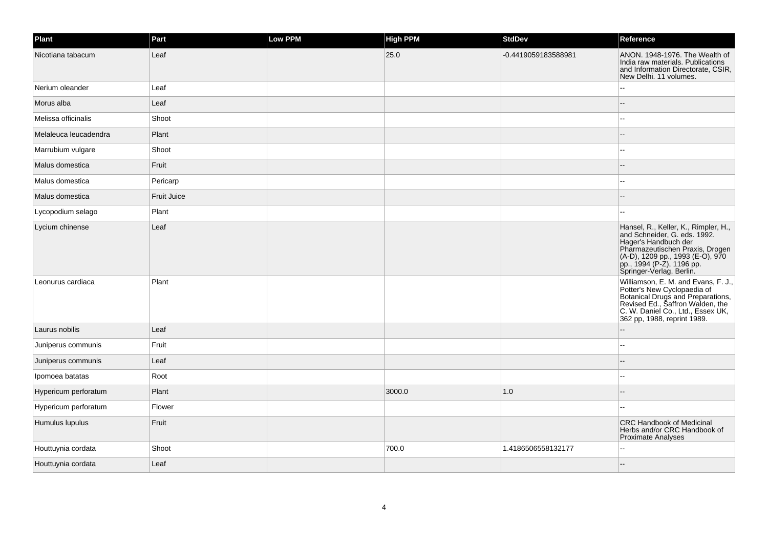| Plant                 | Part        | Low PPM | <b>High PPM</b> | <b>StdDev</b>       | Reference                                                                                                                                                                                                                 |
|-----------------------|-------------|---------|-----------------|---------------------|---------------------------------------------------------------------------------------------------------------------------------------------------------------------------------------------------------------------------|
| Nicotiana tabacum     | Leaf        |         | 25.0            | -0.4419059183588981 | ANON. 1948-1976. The Wealth of<br>India raw materials. Publications<br>and Information Directorate, CSIR,<br>New Delhi. 11 volumes.                                                                                       |
| Nerium oleander       | Leaf        |         |                 |                     |                                                                                                                                                                                                                           |
| Morus alba            | Leaf        |         |                 |                     |                                                                                                                                                                                                                           |
| Melissa officinalis   | Shoot       |         |                 |                     |                                                                                                                                                                                                                           |
| Melaleuca leucadendra | Plant       |         |                 |                     |                                                                                                                                                                                                                           |
| Marrubium vulgare     | Shoot       |         |                 |                     | --                                                                                                                                                                                                                        |
| Malus domestica       | Fruit       |         |                 |                     |                                                                                                                                                                                                                           |
| Malus domestica       | Pericarp    |         |                 |                     | $\sim$                                                                                                                                                                                                                    |
| Malus domestica       | Fruit Juice |         |                 |                     |                                                                                                                                                                                                                           |
| Lycopodium selago     | Plant       |         |                 |                     | $\overline{a}$                                                                                                                                                                                                            |
| Lycium chinense       | Leaf        |         |                 |                     | Hansel, R., Keller, K., Rimpler, H., and Schneider, G. eds. 1992.<br>Hager's Handbuch der<br>Pharmazeutischen Praxis, Drogen<br>(A-D), 1209 pp., 1993 (E-O), 970<br>pp., 1994 (P-Z), 1196 pp.<br>Springer-Verlag, Berlin. |
| Leonurus cardiaca     | Plant       |         |                 |                     | Williamson, E. M. and Evans, F. J.,<br>Potter's New Cyclopaedia of<br>Botanical Drugs and Preparations,<br>Revised Ed., Saffron Walden, the<br>C. W. Daniel Co., Ltd., Essex UK,<br>362 pp, 1988, reprint 1989.           |
| Laurus nobilis        | Leaf        |         |                 |                     |                                                                                                                                                                                                                           |
| Juniperus communis    | Fruit       |         |                 |                     |                                                                                                                                                                                                                           |
| Juniperus communis    | Leaf        |         |                 |                     |                                                                                                                                                                                                                           |
| Ipomoea batatas       | Root        |         |                 |                     |                                                                                                                                                                                                                           |
| Hypericum perforatum  | Plant       |         | 3000.0          | 1.0                 |                                                                                                                                                                                                                           |
| Hypericum perforatum  | Flower      |         |                 |                     |                                                                                                                                                                                                                           |
| Humulus lupulus       | Fruit       |         |                 |                     | <b>CRC Handbook of Medicinal</b><br>Herbs and/or CRC Handbook of<br>Proximate Analyses                                                                                                                                    |
| Houttuynia cordata    | Shoot       |         | 700.0           | 1.4186506558132177  |                                                                                                                                                                                                                           |
| Houttuynia cordata    | Leaf        |         |                 |                     |                                                                                                                                                                                                                           |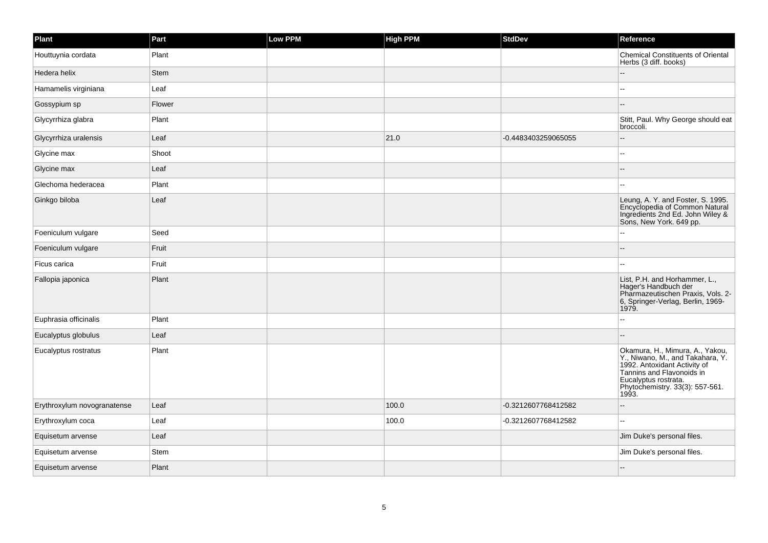| Plant                       | Part   | Low PPM | <b>High PPM</b> | <b>StdDev</b>       | Reference                                                                                                                                                                                            |
|-----------------------------|--------|---------|-----------------|---------------------|------------------------------------------------------------------------------------------------------------------------------------------------------------------------------------------------------|
| Houttuynia cordata          | Plant  |         |                 |                     | <b>Chemical Constituents of Oriental</b><br>Herbs (3 diff. books)                                                                                                                                    |
| Hedera helix                | Stem   |         |                 |                     |                                                                                                                                                                                                      |
| Hamamelis virginiana        | Leaf   |         |                 |                     |                                                                                                                                                                                                      |
| Gossypium sp                | Flower |         |                 |                     |                                                                                                                                                                                                      |
| Glycyrrhiza glabra          | Plant  |         |                 |                     | Stitt, Paul. Why George should eat<br>broccoli.                                                                                                                                                      |
| Glycyrrhiza uralensis       | Leaf   |         | 21.0            | -0.4483403259065055 |                                                                                                                                                                                                      |
| Glycine max                 | Shoot  |         |                 |                     |                                                                                                                                                                                                      |
| Glycine max                 | Leaf   |         |                 |                     |                                                                                                                                                                                                      |
| Glechoma hederacea          | Plant  |         |                 |                     |                                                                                                                                                                                                      |
| Ginkgo biloba               | Leaf   |         |                 |                     | Leung, A. Y. and Foster, S. 1995.<br>Encyclopedia of Common Natural<br>Ingredients 2nd Ed. John Wiley &<br>Sons, New York. 649 pp.                                                                   |
| Foeniculum vulgare          | Seed   |         |                 |                     |                                                                                                                                                                                                      |
| Foeniculum vulgare          | Fruit  |         |                 |                     |                                                                                                                                                                                                      |
| Ficus carica                | Fruit  |         |                 |                     |                                                                                                                                                                                                      |
| Fallopia japonica           | Plant  |         |                 |                     | List, P.H. and Horhammer, L.,<br>Hager's Handbuch der<br>Pharmazeutischen Praxis, Vols. 2-<br>6, Springer-Verlag, Berlin, 1969-<br>1979.                                                             |
| Euphrasia officinalis       | Plant  |         |                 |                     |                                                                                                                                                                                                      |
| Eucalyptus globulus         | Leaf   |         |                 |                     |                                                                                                                                                                                                      |
| Eucalyptus rostratus        | Plant  |         |                 |                     | Okamura, H., Mimura, A., Yakou,<br>Y., Niwano, M., and Takahara, Y.<br>1992. Antoxidant Activity of<br>Tannins and Flavonoids in<br>Eucalyptus rostrata.<br>Phytochemistry. 33(3): 557-561.<br>1993. |
| Erythroxylum novogranatense | Leaf   |         | 100.0           | -0.3212607768412582 |                                                                                                                                                                                                      |
| Erythroxylum coca           | Leaf   |         | 100.0           | -0.3212607768412582 |                                                                                                                                                                                                      |
| Equisetum arvense           | Leaf   |         |                 |                     | Jim Duke's personal files.                                                                                                                                                                           |
| Equisetum arvense           | Stem   |         |                 |                     | Jim Duke's personal files.                                                                                                                                                                           |
| Equisetum arvense           | Plant  |         |                 |                     |                                                                                                                                                                                                      |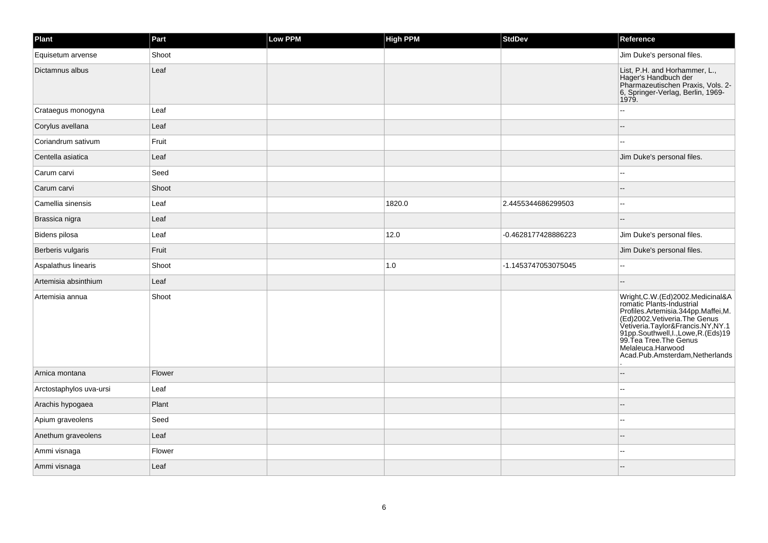| Plant                   | Part   | <b>Low PPM</b> | <b>High PPM</b> | <b>StdDev</b>       | Reference                                                                                                                                                                                                                                                                                                                 |
|-------------------------|--------|----------------|-----------------|---------------------|---------------------------------------------------------------------------------------------------------------------------------------------------------------------------------------------------------------------------------------------------------------------------------------------------------------------------|
| Equisetum arvense       | Shoot  |                |                 |                     | Jim Duke's personal files.                                                                                                                                                                                                                                                                                                |
| Dictamnus albus         | Leaf   |                |                 |                     | List, P.H. and Horhammer, L.,<br>Hager's Handbuch der<br>Pharmazeutischen Praxis, Vols. 2-<br>6, Springer-Verlag, Berlin, 1969-<br>1979.                                                                                                                                                                                  |
| Crataegus monogyna      | Leaf   |                |                 |                     |                                                                                                                                                                                                                                                                                                                           |
| Corylus avellana        | Leaf   |                |                 |                     |                                                                                                                                                                                                                                                                                                                           |
| Coriandrum sativum      | Fruit  |                |                 |                     | ۵.                                                                                                                                                                                                                                                                                                                        |
| Centella asiatica       | Leaf   |                |                 |                     | Jim Duke's personal files.                                                                                                                                                                                                                                                                                                |
| Carum carvi             | Seed   |                |                 |                     |                                                                                                                                                                                                                                                                                                                           |
| Carum carvi             | Shoot  |                |                 |                     |                                                                                                                                                                                                                                                                                                                           |
| Camellia sinensis       | Leaf   |                | 1820.0          | 2.4455344686299503  |                                                                                                                                                                                                                                                                                                                           |
| Brassica nigra          | Leaf   |                |                 |                     |                                                                                                                                                                                                                                                                                                                           |
| Bidens pilosa           | Leaf   |                | 12.0            | -0.4628177428886223 | Jim Duke's personal files.                                                                                                                                                                                                                                                                                                |
| Berberis vulgaris       | Fruit  |                |                 |                     | Jim Duke's personal files.                                                                                                                                                                                                                                                                                                |
| Aspalathus linearis     | Shoot  |                | $1.0$           | -1.1453747053075045 |                                                                                                                                                                                                                                                                                                                           |
| Artemisia absinthium    | Leaf   |                |                 |                     |                                                                                                                                                                                                                                                                                                                           |
| Artemisia annua         | Shoot  |                |                 |                     | Wright, C.W. (Ed) 2002. Medicinal & A<br>romatic Plants-Industrial<br>Profiles.Artenisation<br>Profiles.Artenisia.344pp.Maffei,M.<br>(Ed)2002.Vetiveria.The Genus<br>Vetiveria.Taylor&Francis.NY,NY.1<br>91pp.Southwell,I.,Lowe,R.(Eds)19<br>99.Tea Tree.The Genus<br>Melaleuca.Harwood<br>Acad.Pub.Amsterdam,Netherlands |
| Arnica montana          | Flower |                |                 |                     |                                                                                                                                                                                                                                                                                                                           |
| Arctostaphylos uva-ursi | Leaf   |                |                 |                     |                                                                                                                                                                                                                                                                                                                           |
| Arachis hypogaea        | Plant  |                |                 |                     |                                                                                                                                                                                                                                                                                                                           |
| Apium graveolens        | Seed   |                |                 |                     |                                                                                                                                                                                                                                                                                                                           |
| Anethum graveolens      | Leaf   |                |                 |                     |                                                                                                                                                                                                                                                                                                                           |
| Ammi visnaga            | Flower |                |                 |                     |                                                                                                                                                                                                                                                                                                                           |
| Ammi visnaga            | Leaf   |                |                 |                     |                                                                                                                                                                                                                                                                                                                           |